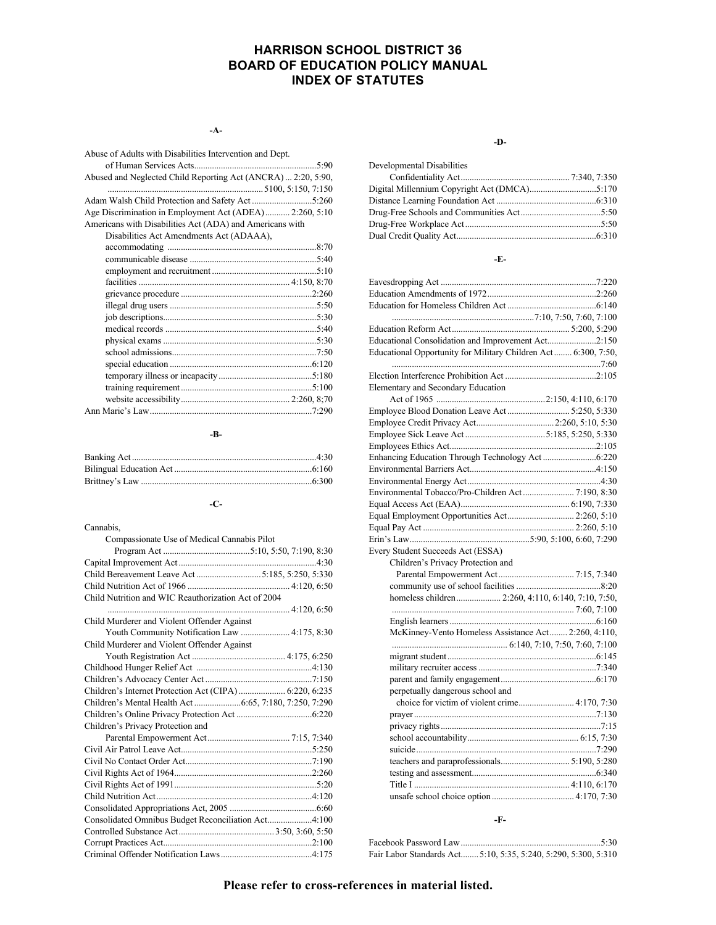## **HARRISON SCHOOL DISTRICT 36 BOARD OF EDUCATION POLICY MANUAL INDEX OF STATUTES**

**-A-**

| Abuse of Adults with Disabilities Intervention and Dept.      |  |
|---------------------------------------------------------------|--|
|                                                               |  |
|                                                               |  |
| Abused and Neglected Child Reporting Act (ANCRA)  2:20, 5:90, |  |
|                                                               |  |
|                                                               |  |
| Age Discrimination in Employment Act (ADEA) 2:260, 5:10       |  |
| Americans with Disabilities Act (ADA) and Americans with      |  |
| Disabilities Act Amendments Act (ADAAA),                      |  |
|                                                               |  |
|                                                               |  |
|                                                               |  |
|                                                               |  |
|                                                               |  |
|                                                               |  |
|                                                               |  |
|                                                               |  |
|                                                               |  |
|                                                               |  |
|                                                               |  |
|                                                               |  |
|                                                               |  |
|                                                               |  |
|                                                               |  |
|                                                               |  |
|                                                               |  |

#### **-B-**

## **-C-**

| Cannabis,                                               |  |
|---------------------------------------------------------|--|
| Compassionate Use of Medical Cannabis Pilot             |  |
|                                                         |  |
|                                                         |  |
|                                                         |  |
|                                                         |  |
| Child Nutrition and WIC Reauthorization Act of 2004     |  |
|                                                         |  |
| Child Murderer and Violent Offender Against             |  |
| Youth Community Notification Law  4:175, 8:30           |  |
| Child Murderer and Violent Offender Against             |  |
|                                                         |  |
|                                                         |  |
|                                                         |  |
| Children's Internet Protection Act (CIPA)  6:220, 6:235 |  |
|                                                         |  |
|                                                         |  |
| Children's Privacy Protection and                       |  |
|                                                         |  |
|                                                         |  |
|                                                         |  |
|                                                         |  |
|                                                         |  |
|                                                         |  |
|                                                         |  |
| Consolidated Omnibus Budget Reconciliation Act4:100     |  |
|                                                         |  |
|                                                         |  |
|                                                         |  |

#### **-D-**

| Developmental Disabilities |  |
|----------------------------|--|
|                            |  |
|                            |  |
|                            |  |
|                            |  |
|                            |  |
|                            |  |

#### **-E-**

| Educational Consolidation and Improvement Act2:150             |  |
|----------------------------------------------------------------|--|
| Educational Opportunity for Military Children Act 6:300, 7:50, |  |
|                                                                |  |
|                                                                |  |
| <b>Elementary and Secondary Education</b>                      |  |
|                                                                |  |
|                                                                |  |
|                                                                |  |
|                                                                |  |
|                                                                |  |
|                                                                |  |
|                                                                |  |
|                                                                |  |
|                                                                |  |
|                                                                |  |
| Equal Employment Opportunities Act 2:260, 5:10                 |  |
|                                                                |  |
|                                                                |  |
|                                                                |  |
| Every Student Succeeds Act (ESSA)                              |  |
| Children's Privacy Protection and                              |  |
|                                                                |  |
|                                                                |  |
|                                                                |  |
|                                                                |  |
|                                                                |  |
| McKinney-Vento Homeless Assistance Act 2:260, 4:110,           |  |
|                                                                |  |
|                                                                |  |
|                                                                |  |
|                                                                |  |
| perpetually dangerous school and                               |  |
|                                                                |  |
|                                                                |  |
|                                                                |  |
|                                                                |  |
|                                                                |  |
|                                                                |  |
|                                                                |  |
|                                                                |  |
|                                                                |  |
|                                                                |  |

**-F-**

| Fair Labor Standards Act 5:10, 5:35, 5:240, 5:290, 5:300, 5:310 |  |  |  |
|-----------------------------------------------------------------|--|--|--|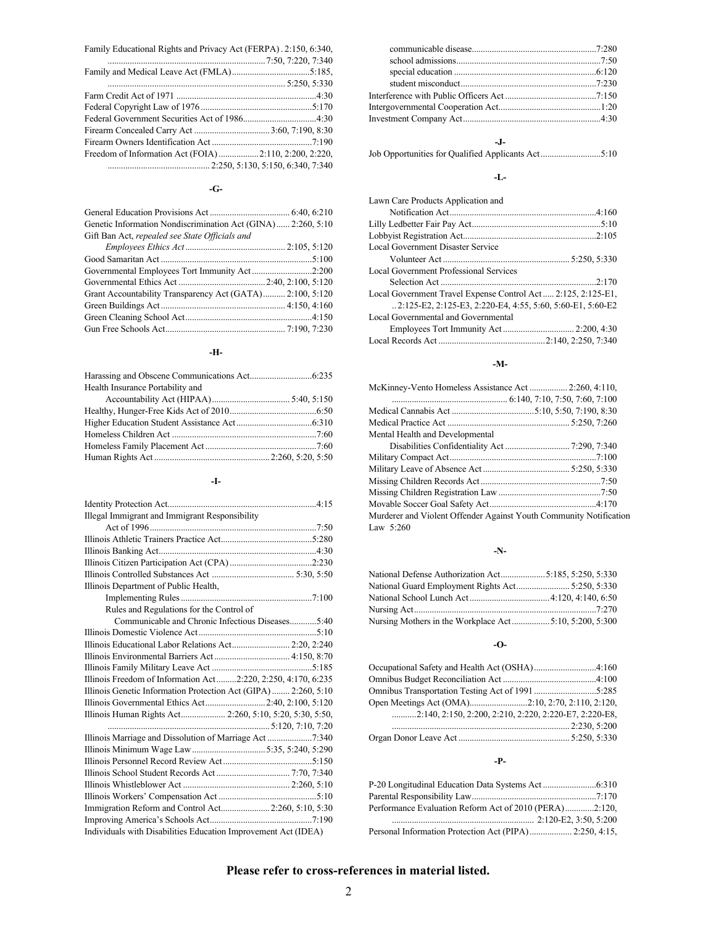| Family Educational Rights and Privacy Act (FERPA). 2:150, 6:340, |  |
|------------------------------------------------------------------|--|
|                                                                  |  |
|                                                                  |  |
|                                                                  |  |
|                                                                  |  |
|                                                                  |  |
|                                                                  |  |
|                                                                  |  |
|                                                                  |  |
| Freedom of Information Act (FOIA) 2:110, 2:200, 2:220,           |  |
|                                                                  |  |

#### **-G-**

| Genetic Information Nondiscrimination Act (GINA) 2:260, 5:10 |  |
|--------------------------------------------------------------|--|
| Gift Ban Act, repealed see State Officials and               |  |
|                                                              |  |
|                                                              |  |
| Governmental Employees Tort Immunity Act2:200                |  |
|                                                              |  |
| Grant Accountability Transparency Act (GATA) 2:100, 5:120    |  |
|                                                              |  |
|                                                              |  |
|                                                              |  |

#### **-H-**

| Health Insurance Portability and |  |
|----------------------------------|--|
|                                  |  |
|                                  |  |
|                                  |  |
|                                  |  |
|                                  |  |
|                                  |  |

#### **-I-**

## **-J-**

Job Opportunities for Qualified Applicants Act...........................5:10

#### **-L-**

| Lawn Care Products Application and                           |  |
|--------------------------------------------------------------|--|
|                                                              |  |
|                                                              |  |
|                                                              |  |
| Local Government Disaster Service                            |  |
|                                                              |  |
| <b>Local Government Professional Services</b>                |  |
|                                                              |  |
| Local Government Travel Expense Control Act 2:125, 2:125-E1, |  |
| 2:125-E2, 2:125-E3, 2:220-E4, 4:55, 5:60, 5:60-E1, 5:60-E2   |  |
| Local Governmental and Governmental                          |  |
|                                                              |  |
|                                                              |  |

#### **-M-**

| McKinney-Vento Homeless Assistance Act  2:260, 4:110,              |  |
|--------------------------------------------------------------------|--|
|                                                                    |  |
|                                                                    |  |
|                                                                    |  |
| Mental Health and Developmental                                    |  |
|                                                                    |  |
|                                                                    |  |
|                                                                    |  |
|                                                                    |  |
|                                                                    |  |
|                                                                    |  |
| Murderer and Violent Offender Against Youth Community Notification |  |
| Law $5:260$                                                        |  |

#### **-N-**

#### **-O-**

| $\ldots$ 2:140, 2:150, 2:200, 2:210, 2:220, 2:220-E7, 2:220-E8, |  |
|-----------------------------------------------------------------|--|
|                                                                 |  |
|                                                                 |  |

#### **-P-**

| Performance Evaluation Reform Act of 2010 (PERA)2:120, |  |
|--------------------------------------------------------|--|
|                                                        |  |
|                                                        |  |

## **Please refer to cross-references in material listed.**